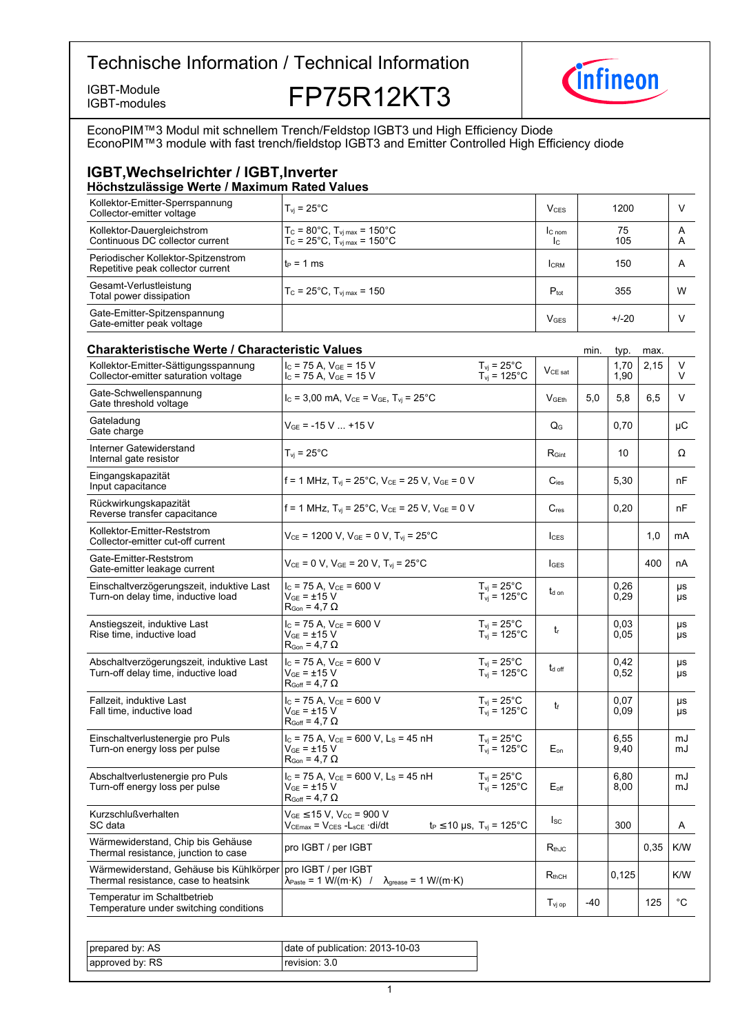

IGBT-Module<br>IGBT-modules **FP75R12KT3** 



EconoPIM™3 Modul mit schnellem Trench/Feldstop IGBT3 und High Efficiency Diode EconoPIM™3 module with fast trench/fieldstop IGBT3 and Emitter Controlled High Efficiency diode

# **IGBT, Wechselrichter / IGBT, Inverter**

| Höchstzulässige Werte / Maximum Rated Values                             |                                                                                                        |                        |           |        |
|--------------------------------------------------------------------------|--------------------------------------------------------------------------------------------------------|------------------------|-----------|--------|
| Kollektor-Emitter-Sperrspannung<br>Collector-emitter voltage             | $T_{vi}$ = 25°C                                                                                        | V <sub>CES</sub>       | 1200      |        |
| Kollektor-Dauergleichstrom<br>Continuous DC collector current            | $T_c = 80^{\circ}$ C, $T_{\text{vi max}} = 150^{\circ}$ C<br>$T_c$ = 25°C, $T_{\text{vi max}}$ = 150°C | $C_{nom}$<br>Ic.       | 75<br>105 | A<br>А |
| Periodischer Kollektor-Spitzenstrom<br>Repetitive peak collector current | $t_P = 1$ ms                                                                                           | <b>CRM</b>             | 150       | A      |
| Gesamt-Verlustleistung<br>Total power dissipation                        | $T_c = 25^{\circ}$ C, $T_{\text{vi max}} = 150$                                                        | $P_{\text{tot}}$       | 355       | W      |
| Gate-Emitter-Spitzenspannung<br>Gate-emitter peak voltage                |                                                                                                        | <b>V<sub>GES</sub></b> | $+/-20$   |        |

| <b>Charakteristische Werte / Characteristic Values</b>                          |                                                                                                                        |                                                                       | min.                      | typ.  | max.         |      |                 |
|---------------------------------------------------------------------------------|------------------------------------------------------------------------------------------------------------------------|-----------------------------------------------------------------------|---------------------------|-------|--------------|------|-----------------|
| Kollektor-Emitter-Sättigungsspannung<br>Collector-emitter saturation voltage    | $I_C$ = 75 A, $V_{GE}$ = 15 V<br>$I_C$ = 75 A, $V_{GE}$ = 15 V                                                         | $T_{vj} = 25^{\circ}C$<br>$T_{vj} = 125^{\circ}C$                     | $V_{\text{CE sat}}$       |       | 1,70<br>1,90 | 2,15 | V<br>V          |
| Gate-Schwellenspannung<br>Gate threshold voltage                                | $I_c = 3,00$ mA, $V_{CE} = V_{GE}$ , $T_{vi} = 25^{\circ}$ C                                                           |                                                                       | V <sub>GEth</sub>         | 5,0   | 5,8          | 6,5  | V               |
| Gateladung<br>Gate charge                                                       | $V_{GE}$ = -15 V  +15 V                                                                                                |                                                                       | $Q_G$                     |       | 0,70         |      | μC              |
| Interner Gatewiderstand<br>Internal gate resistor                               | $T_{vi}$ = 25°C                                                                                                        |                                                                       | $R_{\text{Gint}}$         |       | 10           |      | Ω               |
| Eingangskapazität<br>Input capacitance                                          | f = 1 MHz, $T_{vi}$ = 25°C, $V_{CE}$ = 25 V, $V_{GE}$ = 0 V                                                            |                                                                       | $C_{\text{ies}}$          |       | 5,30         |      | nF              |
| Rückwirkungskapazität<br>Reverse transfer capacitance                           | f = 1 MHz, $T_{vi}$ = 25°C, $V_{CE}$ = 25 V, $V_{GE}$ = 0 V                                                            |                                                                       | $C_{res}$                 |       | 0,20         |      | nF              |
| Kollektor-Emitter-Reststrom<br>Collector-emitter cut-off current                | $V_{CE}$ = 1200 V, $V_{GE}$ = 0 V, $T_{vi}$ = 25°C                                                                     |                                                                       | $I_{\text{CES}}$          |       |              | 1,0  | mA              |
| Gate-Emitter-Reststrom<br>Gate-emitter leakage current                          | $V_{CF}$ = 0 V, $V_{GE}$ = 20 V, $T_{vi}$ = 25°C                                                                       |                                                                       | $I_{\text{GFS}}$          |       |              | 400  | nA              |
| Einschaltverzögerungszeit, induktive Last<br>Turn-on delay time, inductive load | $I_C$ = 75 A, $V_{CE}$ = 600 V<br>$V_{GF}$ = ±15 V<br>$R_{\text{Gon}} = 4.7 \Omega$                                    | $T_{vj} = 25^{\circ}$ C<br>$T_{vj} = 125^{\circ}$ C                   | $t_{\text{d} \text{ on}}$ |       | 0,26<br>0,29 |      | μs<br>μs        |
| Anstiegszeit, induktive Last<br>Rise time, inductive load                       | $I_c$ = 75 A, $V_{CE}$ = 600 V<br>$V_{GF} = \pm 15 V$<br>$R_{\text{Gon}} = 4.7 \Omega$                                 | $T_{\rm vj}$ = 25°C<br>$T_{vi}$ = 125°C                               | $t_{r}$                   |       | 0.03<br>0.05 |      | μs<br><b>US</b> |
| Abschaltverzögerungszeit, induktive Last<br>Turn-off delay time, inductive load | $I_{C}$ = 75 A, $V_{CF}$ = 600 V<br>$V_{GF} = \pm 15 V$<br>$R_{Goff} = 4.7 \Omega$                                     | $T_{\rm vj} = 25^{\circ}$ C<br>$T_{vi} = 125^{\circ}$ C               | t <sub>d off</sub>        |       | 0.42<br>0.52 |      | μs<br>μs        |
| Fallzeit, induktive Last<br>Fall time, inductive load                           | $I_C$ = 75 A, $V_{CE}$ = 600 V<br>$\rm V_{GE}$ = $\pm 15~\rm V$<br>$R_{Goff} = 4.7 \Omega$                             | $T_{\rm vj}$ = 25°C<br>$T_{\text{vj}}$ = 125°C                        | t                         |       | 0,07<br>0,09 |      | μs<br>μs        |
| Einschaltverlustenergie pro Puls<br>Turn-on energy loss per pulse               | $I_c$ = 75 A, $V_{CE}$ = 600 V, L <sub>s</sub> = 45 nH<br>$V_{GE}$ = $\pm 15$ V<br>$R_{\text{Gon}} = 4.7 \Omega$       | $T_{vi}$ = 25°C<br>$T_{vi} = 125^{\circ}$ C                           | $E_{on}$                  |       | 6,55<br>9,40 |      | mJ<br>mJ        |
| Abschaltverlustenergie pro Puls<br>Turn-off energy loss per pulse               | $I_c$ = 75 A, $V_{CE}$ = 600 V, L <sub>S</sub> = 45 nH<br>$V_{GE} = \pm 15 V$<br>$R_{Goff}$ = 4,7 $\Omega$             | $T_{\rm vj}$ = 25°C<br>$T_{\text{vj}} = 125^{\circ}$ C                | $E_{\text{off}}$          |       | 6,80<br>8,00 |      | mJ<br>mJ        |
| Kurzschlußverhalten<br>SC data                                                  | $V_{GE}$ $\leq$ 15 V, V <sub>CC</sub> = 900 V<br>$V_{CEmax}$ = $V_{CES}$ - $L_{SCE}$ ·di/dt                            | $t_P \le 10 \text{ }\mu\text{s}, T_{\text{vj}} = 125^{\circ}\text{C}$ | $I_{SC}$                  |       | 300          |      | A               |
| Wärmewiderstand, Chip bis Gehäuse<br>Thermal resistance, junction to case       | pro IGBT / per IGBT                                                                                                    |                                                                       | $R_{th,IC}$               |       |              | 0.35 | K/W             |
| Wärmewiderstand, Gehäuse bis Kühlkörper<br>Thermal resistance, case to heatsink | pro IGBT / per IGBT<br>$\lambda_{\text{Paste}} = 1 \text{ W/(m·K)}$ /<br>$\lambda_{\text{grease}} = 1 \text{ W/(m·K)}$ |                                                                       | $R_{thCH}$                |       | 0,125        |      | K/W             |
| Temperatur im Schaltbetrieb<br>Temperature under switching conditions           |                                                                                                                        |                                                                       | $T_{\rm vi\,op}$          | $-40$ |              | 125  | $^{\circ}$ C    |

| prepared by: AS | date of publication: 2013-10-03 |
|-----------------|---------------------------------|
| approved by: RS | revision: 3.0 l                 |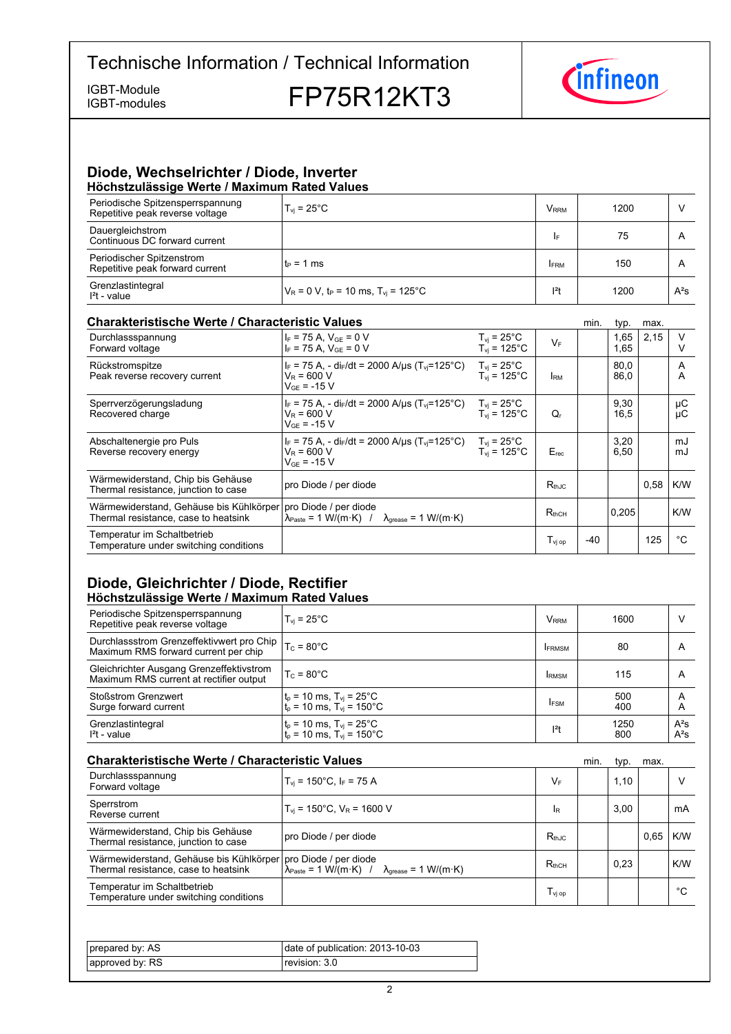IGBT-modules

IGBT-Module<br>IGBT-modules **FP75R12KT3** 



#### **Diode,-Wechselrichter-/-Diode,-Inverter Höchstzulässige-Werte-/-Maximum-Rated-Values**

| <b>INVERSIGATION INCLUST INCONTRATION</b> INCLUST VAIDUS            |                                                              |                         |      |        |  |  |
|---------------------------------------------------------------------|--------------------------------------------------------------|-------------------------|------|--------|--|--|
| Periodische Spitzensperrspannung<br>Repetitive peak reverse voltage | $T_{vi}$ = 25°C                                              | <b>V</b> <sub>RRM</sub> | 1200 |        |  |  |
| Dauergleichstrom<br>Continuous DC forward current                   |                                                              | I۴                      | 75   | A      |  |  |
| Periodischer Spitzenstrom<br>Repetitive peak forward current        | $t_P = 1$ ms                                                 | <b>FRM</b>              | 150  | A      |  |  |
| Grenzlastintegral<br>$l2t$ - value                                  | $V_R = 0$ V, t <sub>P</sub> = 10 ms, T <sub>vi</sub> = 125°C | $ ^{2}t$                | 1200 | $A^2S$ |  |  |

#### **Charakteristische Werte / Characteristic**

| <b>Charakteristische Werte / Characteristic Values</b>                          |                                                                                                                       |                                         |                                         | min.  | typ.         | max. |          |
|---------------------------------------------------------------------------------|-----------------------------------------------------------------------------------------------------------------------|-----------------------------------------|-----------------------------------------|-------|--------------|------|----------|
| Durchlassspannung<br>Forward voltage                                            | $I_F$ = 75 A, $V_{GE}$ = 0 V<br>$I_F$ = 75 A, $V_{GE}$ = 0 V                                                          | $T_{vi}$ = 25°C<br>$T_{vi}$ = 125°C     | $V_F$                                   |       | 1,65<br>1,65 | 2,15 | V        |
| Rückstromspitze<br>Peak reverse recovery current                                | $I_F$ = 75 A, - di <sub>F</sub> /dt = 2000 A/µs (T <sub>vi</sub> =125°C)<br>$V_R$ = 600 V<br>$V_{GF}$ = -15 V         | $T_{vi}$ = 25°C<br>$T_{vi}$ = 125°C     | <b>IRM</b>                              |       | 80.0<br>86,0 |      | A<br>A   |
| Sperrverzögerungsladung<br>Recovered charge                                     | $ I_F = 75 A$ , - di $_F/dt = 2000 A/\mu s$ (T <sub>vi</sub> =125°C)<br>$V_R = 600 V$<br>$V_{GF}$ = -15 V             | $T_{vi}$ = 25°C<br>$T_{\rm vi}$ = 125°C | $Q_{r}$                                 |       | 9,30<br>16,5 |      | μC<br>μC |
| Abschaltenergie pro Puls<br>Reverse recovery energy                             | $I_F$ = 75 A, - di $_F/dt$ = 2000 A/ $\mu$ s (T <sub>vi</sub> =125°C)<br>$V_R$ = 600 V<br>$V_{GF}$ = -15 V            | $T_{vi}$ = 25°C<br>$T_{vi}$ = 125°C     | $E_{rec}$                               |       | 3,20<br>6,50 |      | mJ<br>mJ |
| Wärmewiderstand, Chip bis Gehäuse<br>Thermal resistance, junction to case       | pro Diode / per diode                                                                                                 |                                         | $R_{thJC}$                              |       |              | 0,58 | K/W      |
| Wärmewiderstand, Gehäuse bis Kühlkörper<br>Thermal resistance, case to heatsink | pro Diode / per diode<br>$\lambda_{\text{Paste}} = 1 \text{ W/(m·K)}$ / $\lambda_{\text{orease}} = 1 \text{ W/(m·K)}$ |                                         | $R_{thCH}$                              |       | 0,205        |      | K/W      |
| Temperatur im Schaltbetrieb<br>Temperature under switching conditions           |                                                                                                                       |                                         | $\mathsf{T}_{\mathsf{vj}\,\mathsf{op}}$ | $-40$ |              | 125  | °C       |

### **Diode, Gleichrichter / Diode, Rectifier Höchstzulässige-Werte-/-Maximum-Rated-Values**

| Periodische Spitzensperrspannung<br>Repetitive peak reverse voltage                 | $T_{vi}$ = 25 $^{\circ}$ C                                                                                                          | <b>V</b> <sub>RRM</sub> | 1600        | ν                |
|-------------------------------------------------------------------------------------|-------------------------------------------------------------------------------------------------------------------------------------|-------------------------|-------------|------------------|
| Durchlassstrom Grenzeffektivwert pro Chip<br>Maximum RMS forward current per chip   | $T_c = 80^{\circ}$ C                                                                                                                | <b>IFRMSM</b>           | 80          | A                |
| Gleichrichter Ausgang Grenzeffektivstrom<br>Maximum RMS current at rectifier output | $T_c = 80^{\circ}$ C                                                                                                                | <b>IRMSM</b>            | 115         | A                |
| <b>Stoßstrom Grenzwert</b><br>Surge forward current                                 | $\begin{cases} t_p = 10 \text{ ms}, T_{vj} = 25^{\circ} \text{C} \\ t_p = 10 \text{ ms}, T_{vj} = 150^{\circ} \text{C} \end{cases}$ | <b>IFSM</b>             | 500<br>400  | A<br>A           |
| Grenzlastintegral<br>$I2t - value$                                                  | $\begin{cases} t_p = 10 \text{ ms}, T_{vj} = 25^{\circ} \text{C} \\ t_p = 10 \text{ ms}, T_{vj} = 150^{\circ} \text{C} \end{cases}$ | $ ^{2}t$                | 1250<br>800 | $A^2S$<br>$A^2S$ |

| <b>Charakteristische Werte / Characteristic Values</b>                                                  |                                                                                              |                                    | min. | typ. | max. |     |
|---------------------------------------------------------------------------------------------------------|----------------------------------------------------------------------------------------------|------------------------------------|------|------|------|-----|
| Durchlassspannung<br>Forward voltage                                                                    | $T_{vi}$ = 150°C, I <sub>F</sub> = 75 A                                                      | VF                                 |      | 1,10 |      | ٧   |
| Sperrstrom<br>Reverse current                                                                           | $T_{\text{vi}}$ = 150°C, $V_{\text{R}}$ = 1600 V                                             | <b>IR</b>                          |      | 3.00 |      | mA  |
| Wärmewiderstand, Chip bis Gehäuse<br>Thermal resistance, junction to case                               | pro Diode / per diode                                                                        | $R_{th,IC}$                        |      |      | 0.65 | K/W |
| Wärmewiderstand, Gehäuse bis Kühlkörper   pro Diode / per diode<br>Thermal resistance, case to heatsink | $\lambda_{\text{Paste}} = 1 \text{ W/(m·K)}$ / $\lambda_{\text{grease}} = 1 \text{ W/(m·K)}$ | $R_{thCH}$                         |      | 0.23 |      | K/W |
| Temperatur im Schaltbetrieb<br>Temperature under switching conditions                                   |                                                                                              | $T_{\rm\scriptscriptstyle VI\,op}$ |      |      |      | °C  |

| prepared by: AS | date of publication: 2013-10-03 |
|-----------------|---------------------------------|
| approved by: RS | revision: 3.0                   |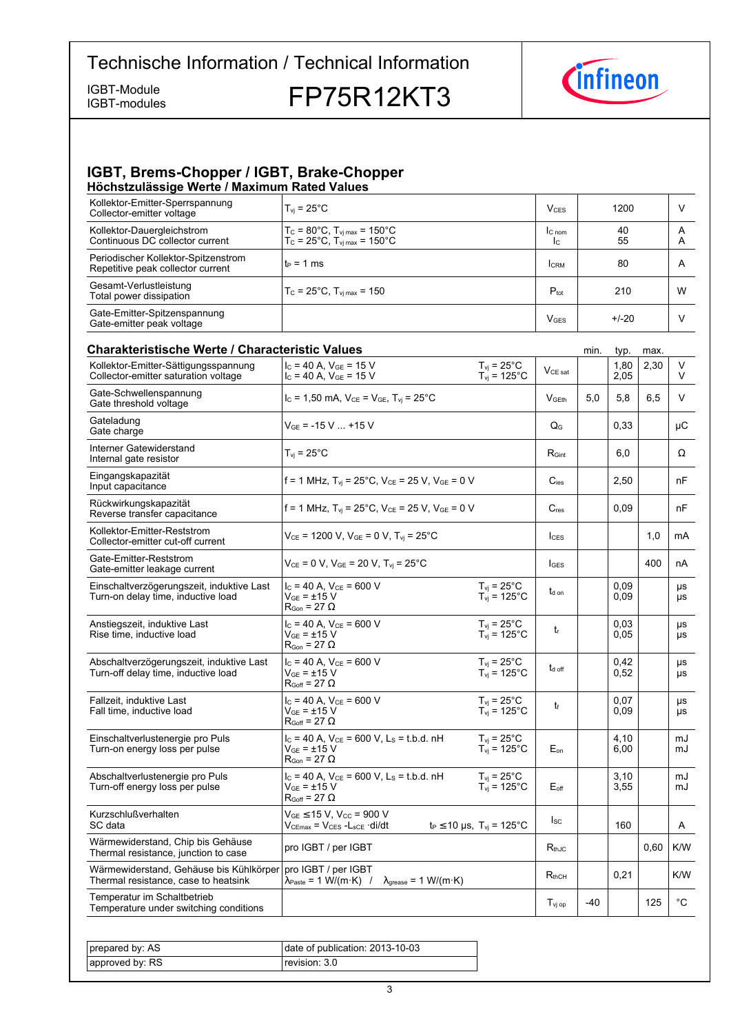IGBT-modules

IGBT-Module **FP75R12KT3** 



#### **IGBT, Brems-Chopper / IGBT, Brake-Chopper Höchstzulässige-Werte-/-Maximum-Rated-Values**

| Kollektor-Emitter-Sperrspannung<br>Collector-emitter voltage             | $T_{\rm vi}$ = 25°C.                                                                                                  | $V_{CFS}$        | 1200     | V      |
|--------------------------------------------------------------------------|-----------------------------------------------------------------------------------------------------------------------|------------------|----------|--------|
| Kollektor-Dauergleichstrom<br>Continuous DC collector current            | $T_c = 80^{\circ}$ C, $T_{\text{vi max}} = 150^{\circ}$ C<br>$T_c = 25^{\circ}C$ , $T_{\text{vi max}} = 150^{\circ}C$ | $C_{nom}$<br>Ic. | 40<br>55 | A<br>A |
| Periodischer Kollektor-Spitzenstrom<br>Repetitive peak collector current | $t_P = 1$ ms                                                                                                          | <b>ICRM</b>      | 80       | A      |
| Gesamt-Verlustleistung<br>Total power dissipation                        | $T_c = 25^{\circ}$ C, $T_{\text{vi max}} = 150$                                                                       | $P_{\text{tot}}$ | 210      | W      |
| Gate-Emitter-Spitzenspannung<br>Gate-emitter peak voltage                |                                                                                                                       | $V$ GES          | $+/-20$  |        |

#### **Charakteristische Werte / Characteristic Values Minited and Characteristic-** min. typ. max. Kollektor-Emitter-Sättigungsspannung Collector-emitter saturation voltage  $I_C = 40$  A,  $V_{GE} = 15$  V  $I_{C}$  = 40 A,  $V_{GE}$  = 15 V<br> $I_{C}$  = 40 A,  $V_{GE}$  = 15 V  $I_{Vj}$  = 125 °C  $V_{CE}$  sat 1,80 2,05  $2,30$  V V  $T_{vi}$  = 25 $^{\circ}$ C  $T_{vj} = 125\degree C$ Gate-Schwellenspannung Gate threshold  $V_{\text{C}} = 1,50 \text{ mA}, V_{\text{CE}} = V_{\text{GE}}$ ,  $T_{\text{vi}} = 25^{\circ}\text{C}$   $V_{\text{GEth}}$  5,0 5,8 6,5 V Gateladung Gate charge  $\begin{array}{|c|c|c|c|c|}\n\hline\n\text{change} & & & \text{if } \mathsf{V}_{\mathsf{GE}} = -15 \, \text{V} \dots + 15 \, \text{V} & & & \mathsf{Q}_\mathsf{G} & & \mathsf{Q}_\mathsf{G} & & \mathsf{Q}_\mathsf{G} \mathsf{G} & & \mathsf{V} \mathsf{G}.\n\hline\n\end{array}$ Interner Gatewiderstand Internal gate resistor  $\vert T_{\text{vj}} = 25^{\circ}$ C R<sub>Gint</sub>  $\vert$  R<sub>Gint</sub>  $\vert$  6,0  $\vert$  Ω Eingangskapazität Input capacitance  $f = 1 \text{ MHz}, T_{\text{vj}} = 25^{\circ} \text{C}, V_{\text{CE}} = 25 \text{ V}, V_{\text{GE}} = 0 \text{ V}$   $C_{\text{ies}}$   $2,50$   $R_{\text{res}}$ Rückwirkungskapazität Reverse transfer f = 1 MHz, T<sub>vj</sub> = 25°C, V<sub>CE</sub> = 25 V, V<sub>GE</sub> = 0 V  $\qquad \qquad$  C<sub>res</sub>  $\qquad \qquad$  0,09  $\qquad \qquad$  nF Kollektor-Emitter-Reststrom Collector-emitter cut-off  $V_{CE}$  = 1200 V,  $V_{GE}$  = 0 V, T<sub>vj</sub> = 25°C  $\vert$   $\vert$ <sub>CES</sub>  $\vert$  1,0  $\vert$  mA Gate-Emitter-Reststrom Gate-emitter leakage  $V_{CE} = 0 \text{ V}, V_{GE} = 20 \text{ V}, T_{vj} = 25^{\circ}\text{C}$   $| \cdot |_{GES} |$   $|$  400 nA Einschaltverzögerungszeit, induktive Last Turn-on delay time, inductive load  $I_{C}$  = 40 A,  $V_{CF}$  = 600 V  $V_{GE} = \pm 15 \text{ V}$  $R_{\text{Gon}} = 27 \Omega$ td on 0,09 0,09 µs µs  $T_{vi}$  = 25 $^{\circ}$ C  $T_{\text{vj}} = 125^{\circ}C$ Anstiegszeit, induktive Last Rise time, inductive load  $I_C = 40 A$ ,  $V_{CE} = 600 V$  $V_{GF}$  =  $\pm 15$  V  $R_{\text{Gon}} = 27 \Omega$ tr 0,03 0,05 µs µs  $T_{\text{vj}}$  = 25 $^{\circ}$ C  $T_{\text{vj}} = 125^{\circ}C$ Abschaltverzögerungszeit, induktive Last Turn-off delay time, inductive load  $I_C = 40$  A,  $V_{CE} = 600$  V  $V_{GE} = \pm 15$  V  $R_{Goff}$  = 27  $\Omega$ t<sub>d off</sub> 0,42  $0.52$ µs µs  $T_{vi}$  = 25 $^{\circ}$ C  $T_{\text{vj}} = 125^{\circ} \text{C}$ Fallzeit, induktive Last Fall time, inductive load  $I_C = 40 A$ ,  $V_{CE} = 600 V$  $V_{CE}$  =  $+15$  V  $R_{\text{Coff}} = 27 \Omega$  $t_f$ 0,07 0.09 µs µs  $T_{\text{vj}} = 25^{\circ} \text{C}$  $T_{\text{vj}} = 125^{\circ} \text{C}$ Einschaltverlustenergie pro Puls Turn-on energy loss per pulse  $I_c = 40$  A,  $V_{CE} = 600$  V,  $L_s = t.b.d.$  nH  $\rm V_{GE}$  =  $\pm 15~\rm V$  $R_{\text{Gon}} = 27 \Omega$  $F_{\alpha}$ 4,10 6,00 m. m.l  $T_{\rm vj}$  = 25°C  $T_{\rm vj}$  = 125°C Abschaltverlustenergie pro Puls Turn-off energy loss per pulse  $I_C = 40$  A,  $V_{CE} = 600$  V,  $L_S = t.b.d.$  nH  $V_{CE}$  = +15 V  $R_{Goff}$  = 27  $\Omega$  $F_{\alpha f}$ 3,10 3,55  $m<sub>l</sub>$ mJ  $T_{vi}$  = 25 $^{\circ}$ C  $T_{\text{vj}} = 125^{\circ} \text{C}$ Kurzschlußverhalten SC-data  $V_{GF}$   $\leq$  15 V,  $V_{CC}$  = 900 V  $V_{\text{CE}}$  is v, vcc – 900 v<br>
Vc<sub>Emax</sub> = Vc<sub>Es</sub> -L<sub>scE</sub> ·di/dt t<sub>P</sub> ≤ 10 µs, T<sub>vj</sub> = 125°C  $\begin{vmatrix} \text{Isc} \\ \text{Isc} \end{vmatrix}$  160 A Wärmewiderstand, Chip bis Gehäuse warmewheredand, Only bis Ochause<br>Thermal resistance, junction to case IGBT / per  $\begin{array}{|c|c|c|c|c|c|}\n\hline\n & R_{thJC} & & \hline\n0,60 &\text{K/W} \end{array}$ Wärmewiderstand, Gehäuse bis Kühlkörper Thermal resistance, case to heatsink pro-IGBT / per-IGBT  $\lambda_{\text{Paste}} = 1 \text{ W/(m·K)}$  /  $\lambda_{\text{grease}} = 1 \text{ W/(m·K)}$  Rthch  $\begin{vmatrix} R_{\text{th}} & 0.21 \\ 0.21 & \end{vmatrix}$  K/W Temperatur im Schaltbetrieb Temperature under switching conditions the conditions of  $\begin{array}{|c|c|c|c|c|}\hline \texttt{J}_\texttt{Vj\,op} & -40 & -125 & \texttt{°C} \ \hline \end{array}$

| prepared by: AS | date of publication: 2013-10-03 |
|-----------------|---------------------------------|
| approved by: RS | revision: 3.0 l                 |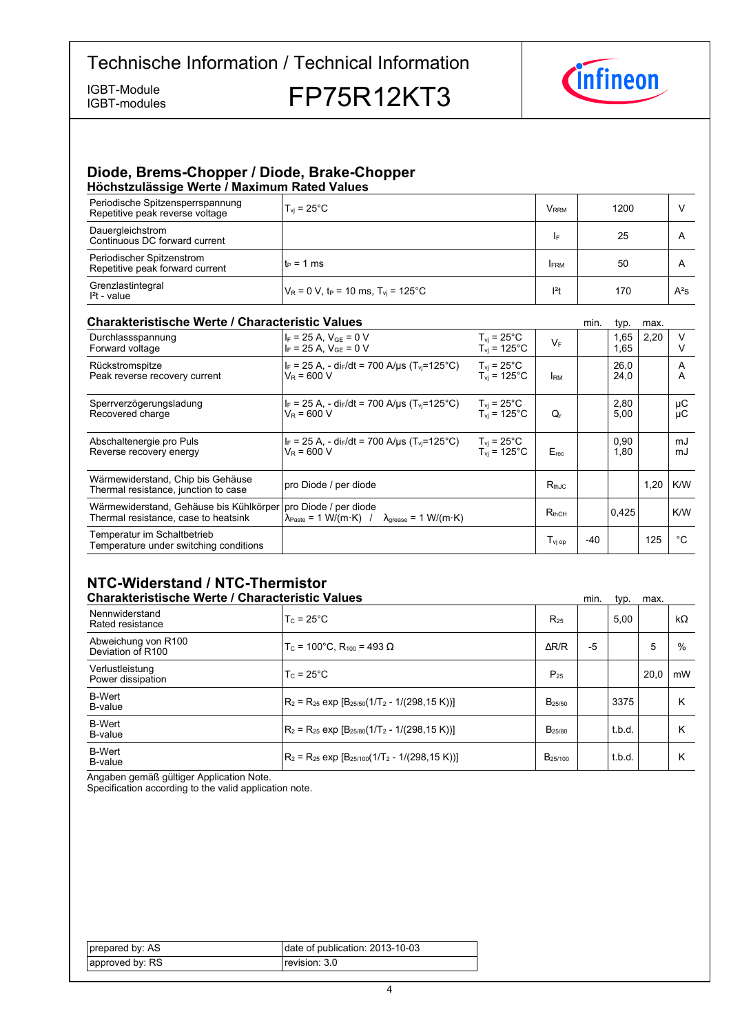IGBT-modules

IGBT-Module<br>IGBT-modules **FP75R12KT3** 



#### **Diode, Brems-Chopper / Diode, Brake-Chopper Höchstzulässige-Werte-/-Maximum-Rated-Values**

| Periodische Spitzensperrspannung<br>Repetitive peak reverse voltage | $T_{vi}$ = 25 $^{\circ}$ C                                    | V <sub>rrm</sub> | 1200 |        |  |  |
|---------------------------------------------------------------------|---------------------------------------------------------------|------------------|------|--------|--|--|
| Dauergleichstrom<br>Continuous DC forward current                   |                                                               | I۴               | 25   | A      |  |  |
| Periodischer Spitzenstrom<br>Repetitive peak forward current        | $t_P = 1$ ms                                                  | <b>IFRM</b>      | 50   | A      |  |  |
| Grenzlastintegral<br>$I2t - value$                                  | $V_R = 0 V$ , t <sub>p</sub> = 10 ms, T <sub>yi</sub> = 125°C | $ ^{2}t$         | 170  | $A^2S$ |  |  |

#### **Charakteristische Werte / Characteristic**

| <b>Charakteristische Werte / Characteristic Values</b>                          |                                                                                                                       |                                                               |                    | min.  | typ.         | max. |          |
|---------------------------------------------------------------------------------|-----------------------------------------------------------------------------------------------------------------------|---------------------------------------------------------------|--------------------|-------|--------------|------|----------|
| Durchlassspannung<br>Forward voltage                                            | $I_F = 25 A$ , $V_{GE} = 0 V$<br>$I_F = 25 A$ , $V_{GE} = 0 V$                                                        | $T_{vi}$ = 25°C<br>$T_{vi}$ = 125°C                           | $V_F$              |       | 1,65<br>1,65 | 2,20 |          |
| Rückstromspitze<br>Peak reverse recovery current                                | $I_F = 25 A$ , - di $_F/dt = 700 A/\mu s$ (T <sub>vi</sub> =125°C)<br>$V_R = 600 V$                                   | $T_{vi}$ = 25°C<br>$T_{\rm vi}$ = 125°C                       | <b>IRM</b>         |       | 26.0<br>24,0 |      | A<br>A   |
| Sperrverzögerungsladung<br>Recovered charge                                     | $I_F = 25$ A, - di $_F/dt = 700$ A/us (T <sub>vi</sub> =125°C)<br>$V_R = 600 V$                                       | $T_{\text{vi}}$ = 25 $^{\circ}$ C<br>$T_{\rm vi}$ = 125°C     | $Q_{r}$            |       | 2,80<br>5,00 |      | μC<br>μC |
| Abschaltenergie pro Puls<br>Reverse recovery energy                             | $I_F = 25 A$ , - di $I_F/dt = 700 A/\mu s$ (T <sub>vi</sub> =125°C)<br>$V_R = 600 V$                                  | $T_{\rm vi}$ = 25 $^{\circ}$ C<br>$T_{vi}$ = 125 $^{\circ}$ C | $E_{rec}$          |       | 0,90<br>1,80 |      | mJ<br>mJ |
| Wärmewiderstand, Chip bis Gehäuse<br>Thermal resistance, junction to case       | pro Diode / per diode                                                                                                 |                                                               | $R_{thJC}$         |       |              | 1,20 | K/W      |
| Wärmewiderstand, Gehäuse bis Kühlkörper<br>Thermal resistance, case to heatsink | pro Diode / per diode<br>$\lambda_{\text{Paste}} = 1 \text{ W/(m·K)}$ / $\lambda_{\text{grease}} = 1 \text{ W/(m·K)}$ |                                                               | $R_{thCH}$         |       | 0.425        |      | K/W      |
| Temperatur im Schaltbetrieb<br>Temperature under switching conditions           |                                                                                                                       |                                                               | T <sub>vi op</sub> | $-40$ |              | 125  | °C       |

## **NTC-Widerstand-/-NTC-Thermistor**

| <b>Charakteristische Werte / Characteristic Values</b> |                                                          | min.         | typ. | max.   |      |           |
|--------------------------------------------------------|----------------------------------------------------------|--------------|------|--------|------|-----------|
| Nennwiderstand<br>Rated resistance                     | $T_c = 25^{\circ}$ C                                     | $R_{25}$     |      | 5.00   |      | $k\Omega$ |
| Abweichung von R100<br>Deviation of R100               | $T_c$ = 100°C. R <sub>100</sub> = 493 Ω                  | $\Delta$ R/R | $-5$ |        | 5    | %         |
| Verlustleistung<br>Power dissipation                   | $T_c = 25^{\circ}$ C                                     | $P_{25}$     |      |        | 20.0 | mW        |
| <b>B-Wert</b><br>B-value                               | $R_2 = R_{25}$ exp $[B_{25/50}(1/T_2 - 1/(298, 15 K))]$  | $B_{25/50}$  |      | 3375   |      | Κ         |
| <b>B-Wert</b><br>B-value                               | $R_2 = R_{25}$ exp $[B_{25/80}(1/T_2 - 1/(298.15 K))]$   | $B_{25/80}$  |      | t.b.d. |      | Κ         |
| <b>B-Wert</b><br>B-value                               | $R_2 = R_{25}$ exp $[B_{25/100}(1/T_2 - 1/(298, 15 K))]$ | $B_{25/100}$ |      | t.b.d. |      | Κ         |

Angaben gemäß gültiger Application Note.

Specification according to the valid application note.

| prepared by: AS! | date of publication: 2013-10-03 |
|------------------|---------------------------------|
| approved by: RS  | revision: 3.0 l                 |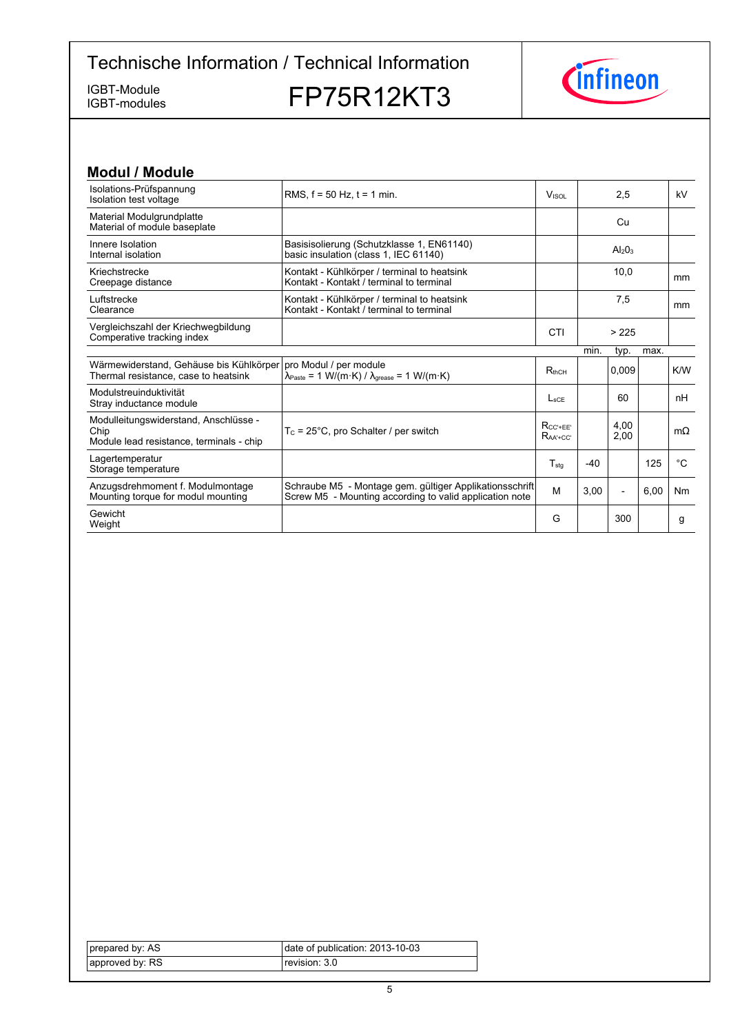IGBT-modules

IGBT-Module<br>IGBT-modules **FP75R12KT3** 



| <b>Modul / Module</b>                                                                     |                                                                                                                                                              |                                  |       |                                |      |             |
|-------------------------------------------------------------------------------------------|--------------------------------------------------------------------------------------------------------------------------------------------------------------|----------------------------------|-------|--------------------------------|------|-------------|
| Isolations-Prüfspannung<br>Isolation test voltage                                         | RMS, $f = 50$ Hz, $t = 1$ min.                                                                                                                               | Visor                            |       | 2,5                            |      | kV          |
| Material Modulgrundplatte<br>Material of module baseplate                                 |                                                                                                                                                              |                                  |       | Cu                             |      |             |
| Innere Isolation<br>Internal isolation                                                    | Basisisolierung (Schutzklasse 1, EN61140)<br>basic insulation (class 1, IEC 61140)                                                                           |                                  |       | Al <sub>2</sub> O <sub>3</sub> |      |             |
| Kriechstrecke<br>Creepage distance                                                        | Kontakt - Kühlkörper / terminal to heatsink<br>Kontakt - Kontakt / terminal to terminal                                                                      |                                  | 10.0  |                                | mm   |             |
| Luftstrecke<br>Clearance                                                                  | Kontakt - Kühlkörper / terminal to heatsink<br>Kontakt - Kontakt / terminal to terminal                                                                      |                                  |       | 7,5                            |      | mm          |
| Vergleichszahl der Kriechwegbildung<br>Comperative tracking index                         |                                                                                                                                                              | CTI                              |       | > 225                          |      |             |
|                                                                                           |                                                                                                                                                              |                                  | min.  | typ.                           | max. |             |
| Wärmewiderstand, Gehäuse bis Kühlkörper<br>Thermal resistance, case to heatsink           | pro Modul / per module<br>$\lambda_{\text{Paste}} = 1 \text{ W}/(\text{m} \cdot \text{K}) / \lambda_{\text{grease}} = 1 \text{ W}/(\text{m} \cdot \text{K})$ | $R_{thCH}$                       |       | 0.009                          |      | K/W         |
| Modulstreuinduktivität<br>Stray inductance module                                         |                                                                                                                                                              | $L_{\rm sCF}$                    |       | 60                             |      | nH          |
| Modulleitungswiderstand, Anschlüsse -<br>Chip<br>Module lead resistance, terminals - chip | $T_c = 25^{\circ}$ C, pro Schalter / per switch                                                                                                              | $R_{CC'+EE'}$<br>$R_{AA' + CC'}$ |       | 4.00<br>2.00                   |      | $m\Omega$   |
| Lagertemperatur<br>Storage temperature                                                    |                                                                                                                                                              | $T_{\text{stq}}$                 | $-40$ |                                | 125  | $^{\circ}C$ |
| Anzugsdrehmoment f. Modulmontage<br>Mounting torque for modul mounting                    | Schraube M5 - Montage gem. gültiger Applikationsschrift<br>Screw M5 - Mounting according to valid application note                                           | M                                | 3,00  | $\overline{\phantom{a}}$       | 6,00 | Nm          |
| Gewicht<br>Weight                                                                         |                                                                                                                                                              | G                                |       | 300                            |      | g           |

| prepared by: AS | date of publication: $2013-10-03$ |
|-----------------|-----------------------------------|
| approved by: RS | revision: 3.0 l                   |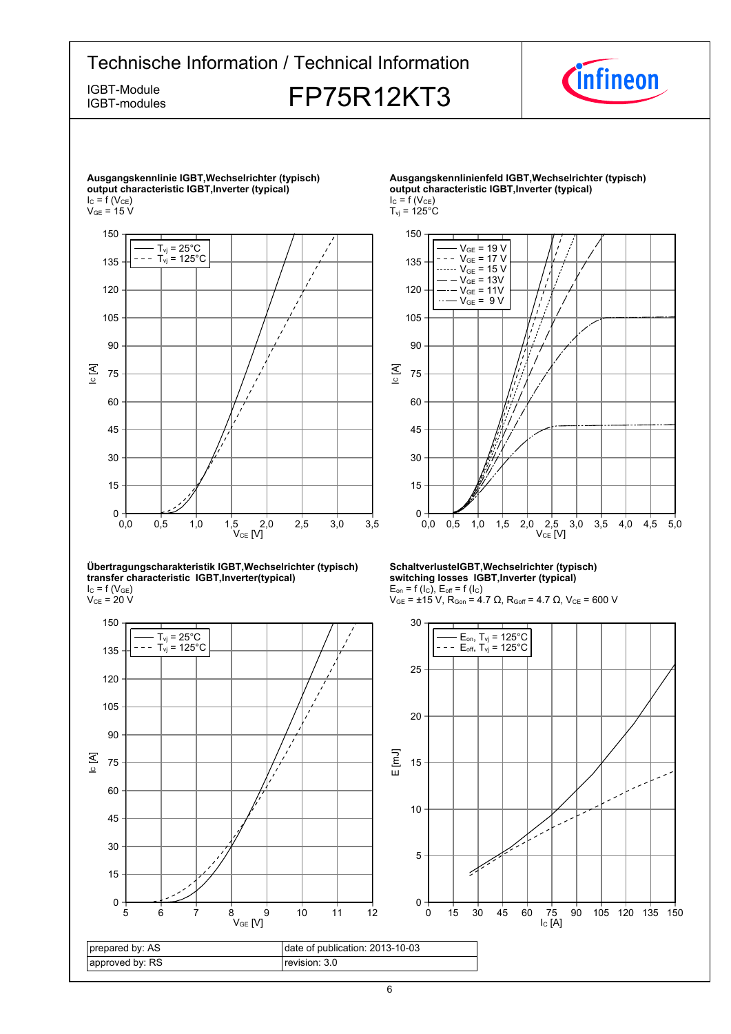

IC [A]

0

15

30

45

60

75

90

105



#### **Übertragungscharakteristik-IGBT,Wechselrichter-(typisch) transfer-characteristic--IGBT,Inverter(typical)**  $I_{C}$  = f (V<sub>GE</sub>)

 $\rm V_{CE}$  = 20 V



**SchaltverlusteIGBT,Wechselrichter-(typisch) switching-losses--IGBT,Inverter-(typical)**  $E_{on}$  = f (l<sub>C</sub>),  $E_{off}$  = f (l<sub>C</sub>)



 $2,0$   $2,5$ <br>V<sub>CE</sub> [V]

0,0 0,5 1,0 1,5 2,0 2,5 3,0 3,5 4,0 4,5 5,0

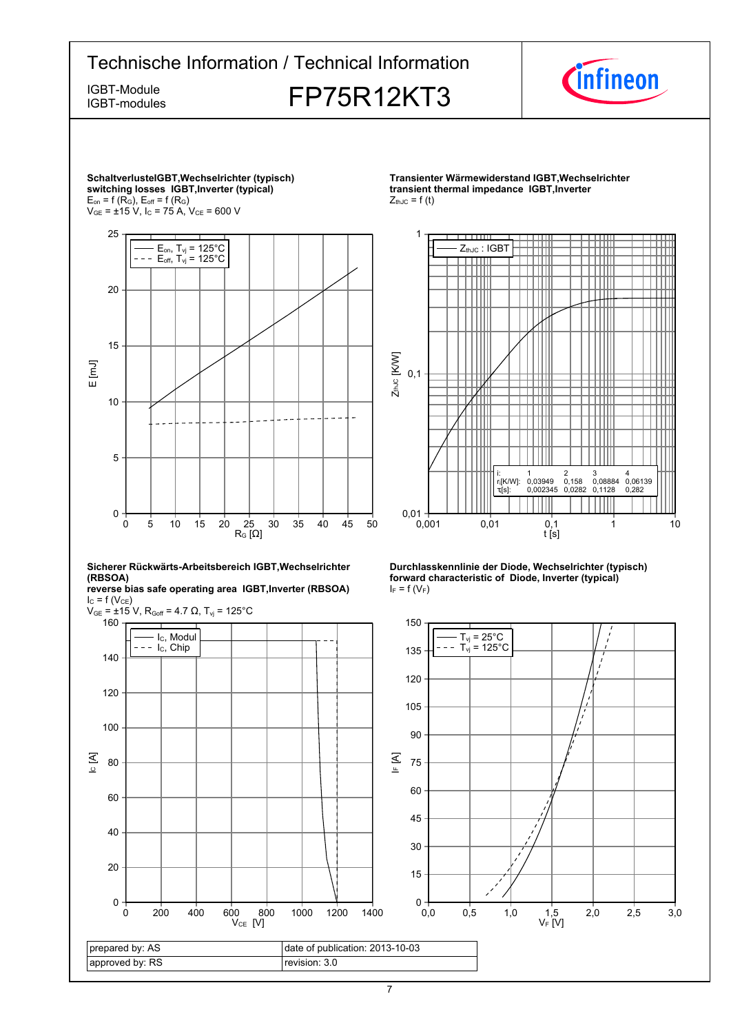

7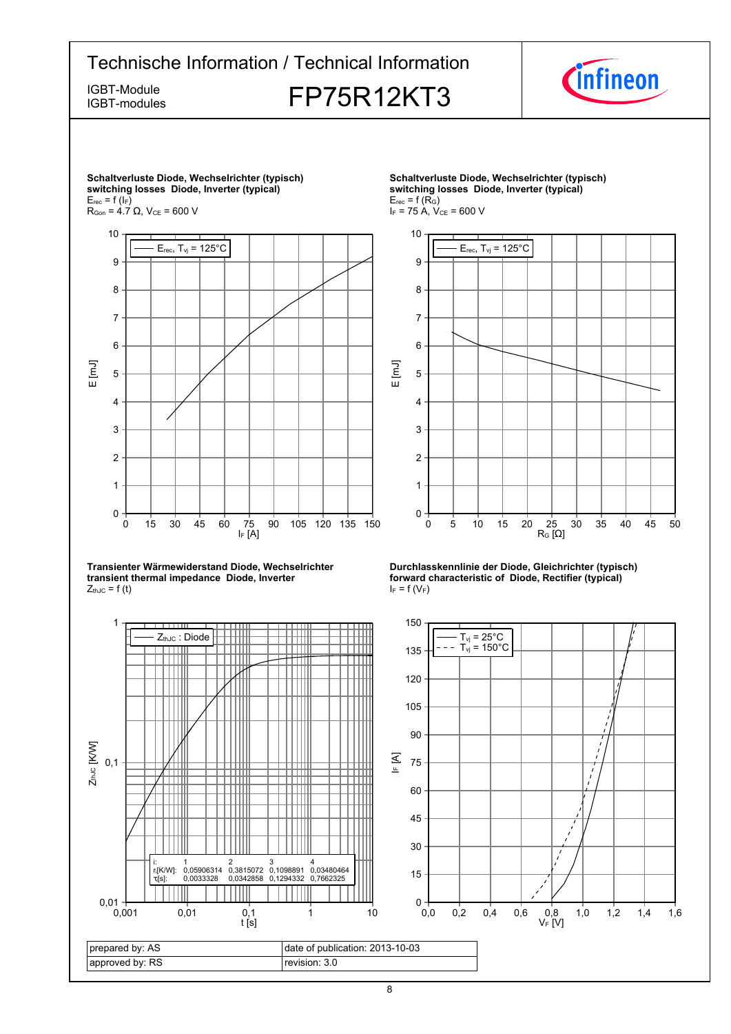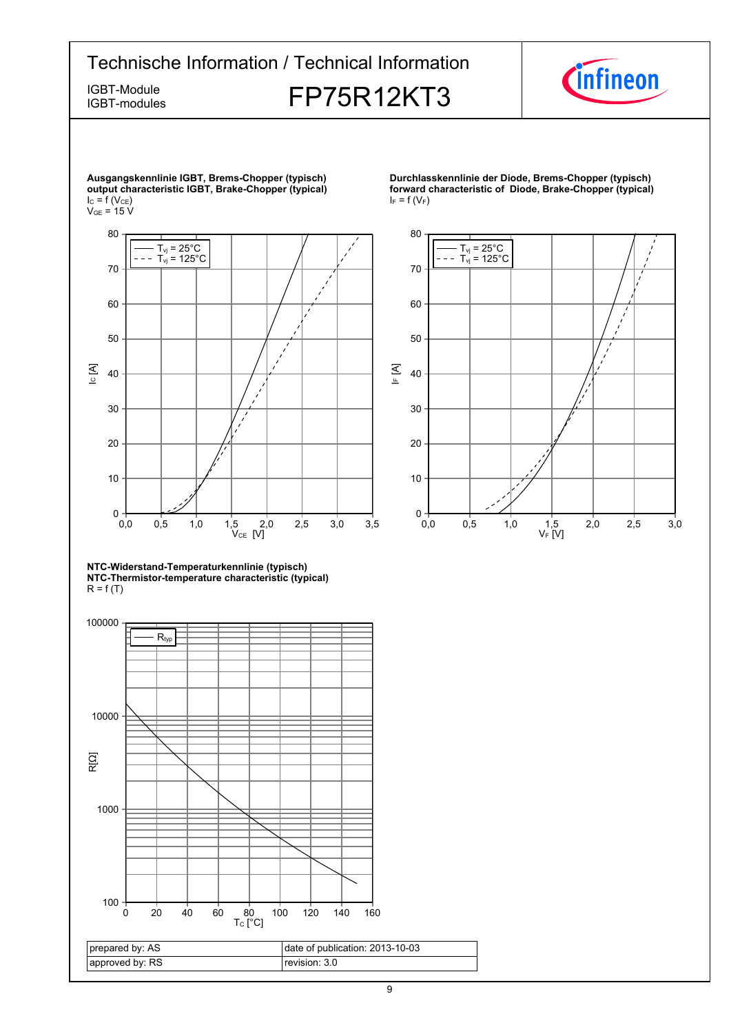# Technische Information / Technical Information IGBT-Module<br>IGBT-Modules FP75R12KT3

IGBT-modules





**Durchlasskennlinie der Diode, Brems-Chopper (typisch) forward characteristic of Diode, Brake-Chopper (typical)**  $I_F = f(V_F)$ 



**NTC-Widerstand-Temperaturkennlinie-(typisch) NTC-Thermistor-temperature-characteristic-(typical)**  $R = f(T)$ 

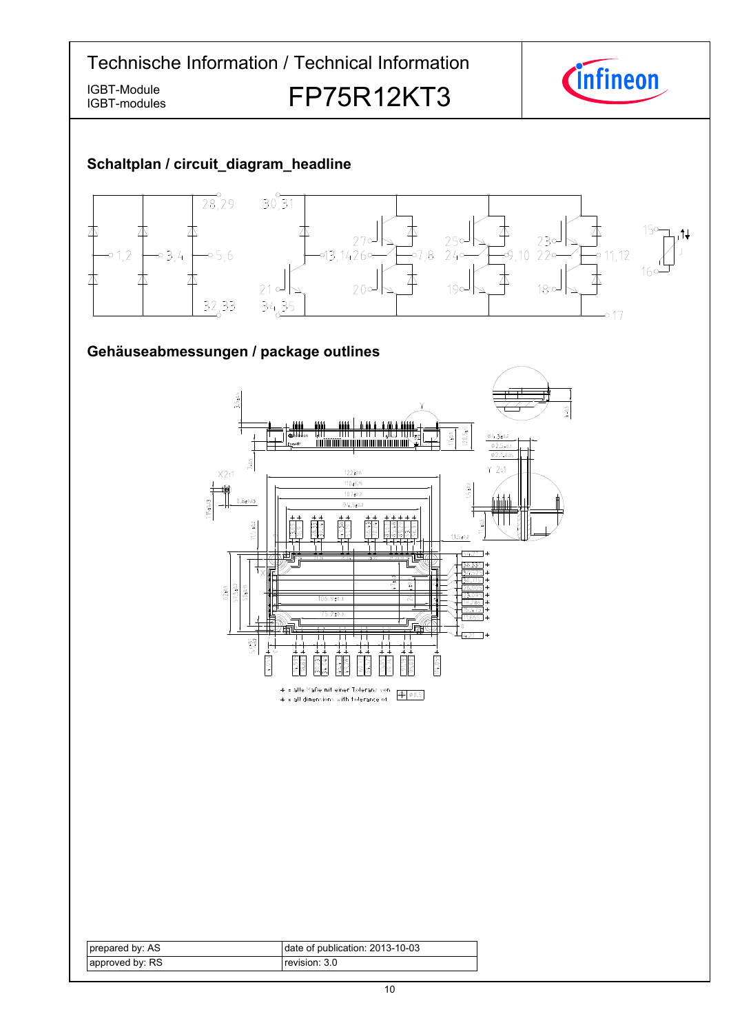Technische Information / Technical Information *Cinfineon* IGBT-Module<br>IGBT-modules **FP75R12KT3** IGBT-modules **Schaltplan-/-circuit\_diagram\_headline**  $\frac{1}{28,29}$  $30,31$ 本 本  $15c$ 本 木 y 不 لہ27<br>=1426,43,1426  $230$  $25c$ -<br>-9,10 22°  $01,2$  $03.4$  $-0.5, 6$  $-07, 8$  $24c$  $-0.11.12$  $16<sup>1</sup>$ 本 本 本  $\Delta$ 丕 木  $20<sup>o</sup>$  $18°$  $21<sup>o</sup>$  $190$  $32,33$  $34,35$ -0 17 Gehäuseabmessungen / package outlines 3.5±0.5  $4 - 0.5$  $\frac{17+0.5}{20.5}$ I diny I N I  $04.3101$ Infineon $\frac{\phi_{2.5-0.1}}{\phi_{2.1-0.05}}$  $7 - 0.5$  $Y$  2:1  $X2:1$  $122 \pm 0.5$  $110+0.15$  $5 + 0.2$  $1.15 \pm 0.03$  $107 + 0.2$  $0.8 + 0.03$  $94.5 \pm 0.2$  $11.5 \pm 0.2$  $\frac{47.38}{51.19}$  $11.5 \pm 0.2$  $-54.21$  \* ।<br>उन्न २२६ ॥  $\frac{62:0.5}{57.5:0.2}$  $50.015$  $106.9 \pm 0.3$  $\frac{1}{4.21}$  \*  $5.5^{+0.1}_{-0.3}$  $114.055*$ 4.055 \* = alle Maße mit einer Toleranz von  $\Phi$   $\phi$ 0.5  $*$  = all dimensions with tolerance of

| prepared by: AS | date of publication: 2013-10-03 |
|-----------------|---------------------------------|
| approved by: RS | revision: 3.0.                  |